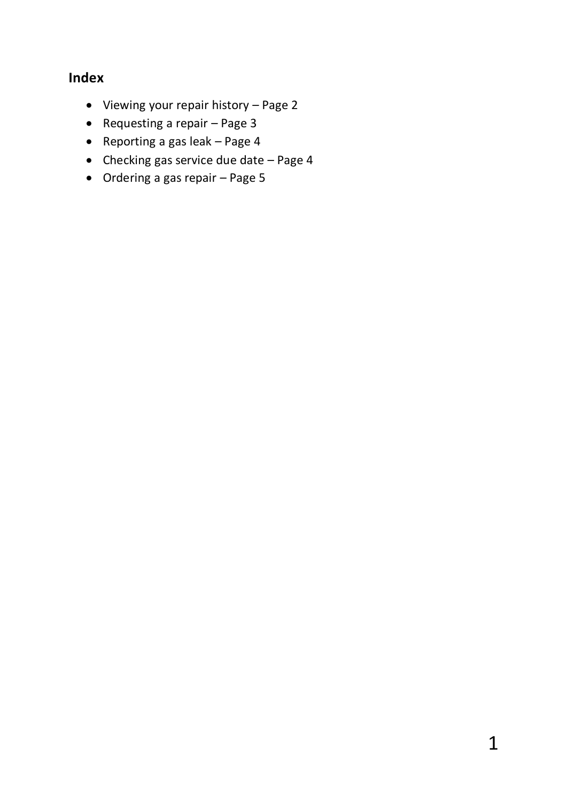# **Index**

- Viewing your repair history Page 2
- Requesting a repair Page 3
- Reporting a gas leak  $-$  Page 4
- $\bullet$  Checking gas service due date Page 4
- Ordering a gas repair Page 5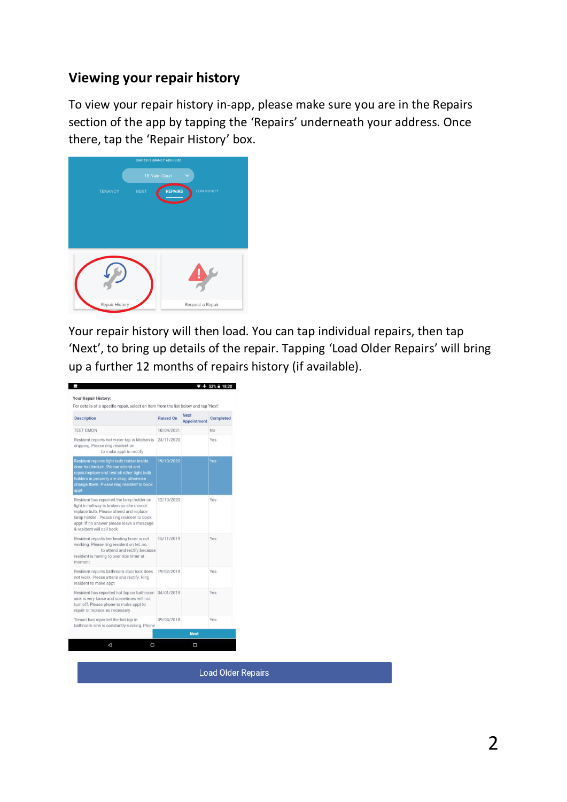### **Viewing your repair history**

To view your repair history in-app, please make sure you are in the Repairs section of the app by tapping the 'Repairs' underneath your address. Once there, tap the 'Repair History' box.

| 18 Naim Court<br>o<br><b>REPAIRS</b><br><b>RENT</b><br><b>COMMUNITY</b><br><b>TENANCY</b> | <b>SWITCH TENANCY ADDRESS</b> |  |  |
|-------------------------------------------------------------------------------------------|-------------------------------|--|--|
|                                                                                           |                               |  |  |
|                                                                                           |                               |  |  |
|                                                                                           |                               |  |  |
|                                                                                           |                               |  |  |
|                                                                                           |                               |  |  |
|                                                                                           |                               |  |  |
|                                                                                           |                               |  |  |
|                                                                                           |                               |  |  |
| Repair History<br>Request a Repair                                                        |                               |  |  |

Your repair history will then load. You can tap individual repairs, then tap 'Next', to bring up details of the repair. Tapping 'Load Older Repairs' will bring up a further 12 months of repairs history (if available).



**Load Older Repairs**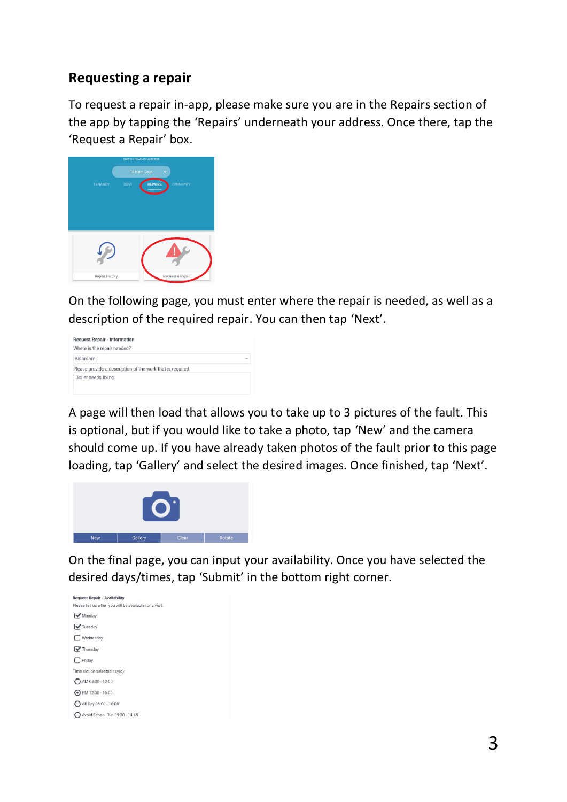### **Requesting a repair**

To request a repair in-app, please make sure you are in the Repairs section of the app by tapping the 'Repairs' underneath your address. Once there, tap the 'Request a Repair' box.



On the following page, you must enter where the repair is needed, as well as a description of the required repair. You can then tap 'Next'.



A page will then load that allows you to take up to 3 pictures of the fault. This is optional, but if you would like to take a photo, tap 'New' and the camera should come up. If you have already taken photos of the fault prior to this page loading, tap 'Gallery' and select the desired images. Once finished, tap 'Next'.



On the final page, you can input your availability. Once you have selected the desired days/times, tap 'Submit' in the bottom right corner.

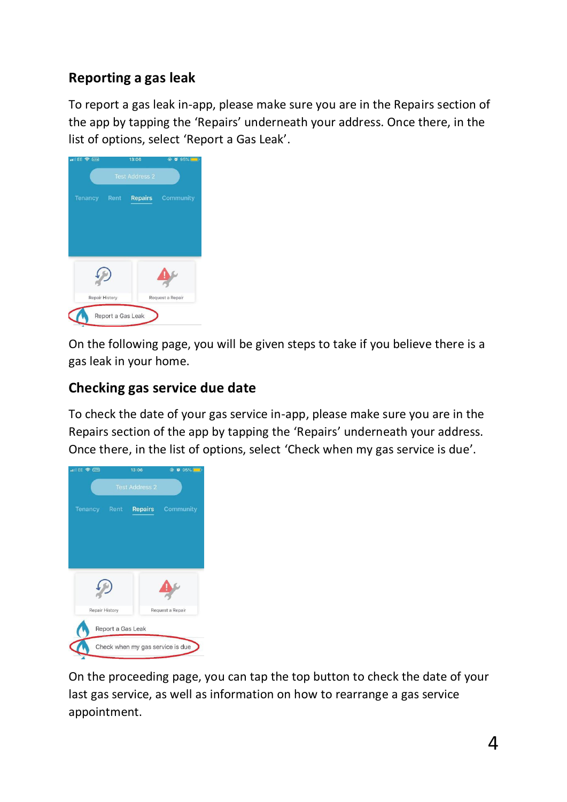# **Reporting a gas leak**

To report a gas leak in-app, please make sure you are in the Repairs section of the app by tapping the 'Repairs' underneath your address. Once there, in the list of options, select 'Report a Gas Leak'.



On the following page, you will be given steps to take if you believe there is a gas leak in your home.

# **Checking gas service due date**

To check the date of your gas service in-app, please make sure you are in the Repairs section of the app by tapping the 'Repairs' underneath your address. Once there, in the list of options, select 'Check when my gas service is due'.



On the proceeding page, you can tap the top button to check the date of your last gas service, as well as information on how to rearrange a gas service appointment.